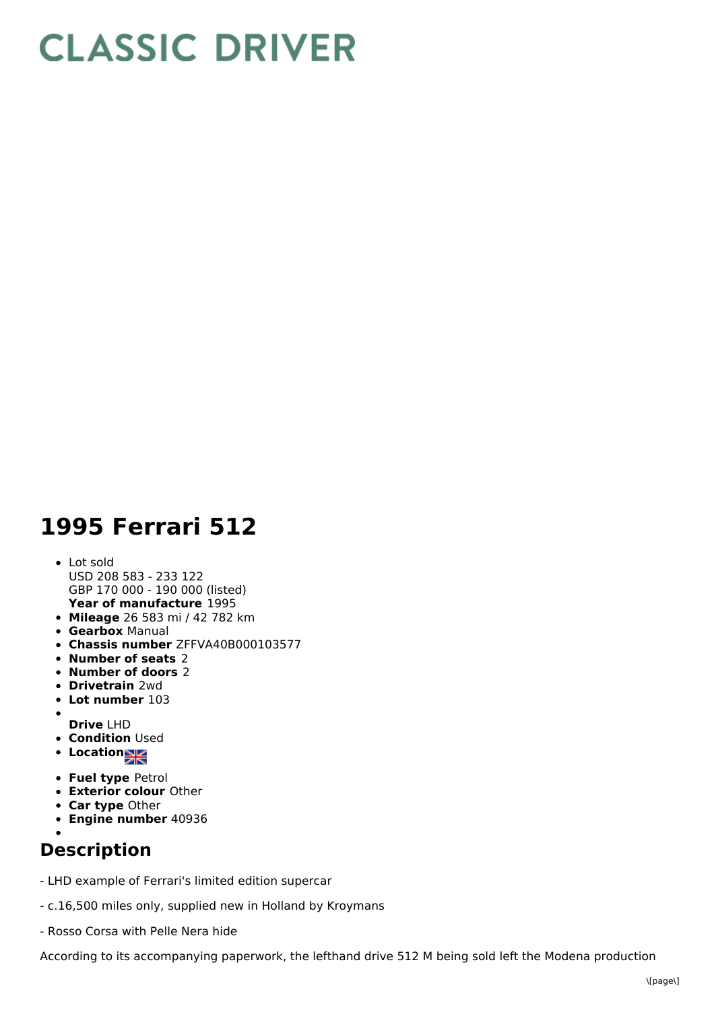## **CLASSIC DRIVER**

## **1995 Ferrari 512**

- **Year of manufacture** 1995 Lot sold USD 208 583 - 233 122 GBP 170 000 - 190 000 (listed)
- **Mileage** 26 583 mi / 42 782 km
- **Gearbox** Manual
- **Chassis number** ZFFVA40B000103577
- **Number of seats** 2
- **Number of doors** 2
- **Drivetrain** 2wd
- **Lot number** 103
- **Drive** LHD
- **Condition Used**
- **Location**
- **Fuel type** Petrol
- **Exterior colour** Other
- **Car type** Other
- **Engine number** 40936
- 

## **Description**

- LHD example of Ferrari's limited edition supercar
- c.16,500 miles only, supplied new in Holland by Kroymans
- Rosso Corsa with Pelle Nera hide

According to its accompanying paperwork, the lefthand drive 512 M being sold left the Modena production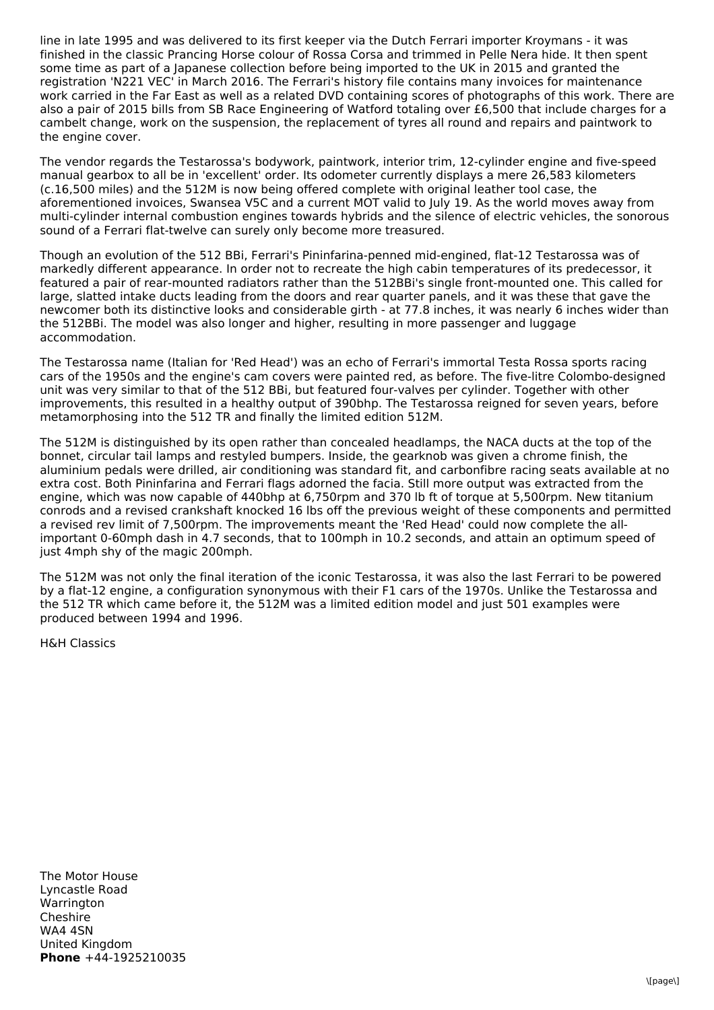line in late 1995 and was delivered to its first keeper via the Dutch Ferrari importer Kroymans - it was finished in the classic Prancing Horse colour of Rossa Corsa and trimmed in Pelle Nera hide. It then spent some time as part of a Japanese collection before being imported to the UK in 2015 and granted the registration 'N221 VEC' in March 2016. The Ferrari's history file contains many invoices for maintenance work carried in the Far East as well as a related DVD containing scores of photographs of this work. There are also a pair of 2015 bills from SB Race Engineering of Watford totaling over £6,500 that include charges for a cambelt change, work on the suspension, the replacement of tyres all round and repairs and paintwork to the engine cover.

The vendor regards the Testarossa's bodywork, paintwork, interior trim, 12-cylinder engine and five-speed manual gearbox to all be in 'excellent' order. Its odometer currently displays a mere 26,583 kilometers (c.16,500 miles) and the 512M is now being offered complete with original leather tool case, the aforementioned invoices, Swansea V5C and a current MOT valid to July 19. As the world moves away from multi-cylinder internal combustion engines towards hybrids and the silence of electric vehicles, the sonorous sound of a Ferrari flat-twelve can surely only become more treasured.

Though an evolution of the 512 BBi, Ferrari's Pininfarina-penned mid-engined, flat-12 Testarossa was of markedly different appearance. In order not to recreate the high cabin temperatures of its predecessor, it featured a pair of rear-mounted radiators rather than the 512BBi's single front-mounted one. This called for large, slatted intake ducts leading from the doors and rear quarter panels, and it was these that gave the newcomer both its distinctive looks and considerable girth - at 77.8 inches, it was nearly 6 inches wider than the 512BBi. The model was also longer and higher, resulting in more passenger and luggage accommodation.

The Testarossa name (Italian for 'Red Head') was an echo of Ferrari's immortal Testa Rossa sports racing cars of the 1950s and the engine's cam covers were painted red, as before. The five-litre Colombo-designed unit was very similar to that of the 512 BBi, but featured four-valves per cylinder. Together with other improvements, this resulted in a healthy output of 390bhp. The Testarossa reigned for seven years, before metamorphosing into the 512 TR and finally the limited edition 512M.

The 512M is distinguished by its open rather than concealed headlamps, the NACA ducts at the top of the bonnet, circular tail lamps and restyled bumpers. Inside, the gearknob was given a chrome finish, the aluminium pedals were drilled, air conditioning was standard fit, and carbonfibre racing seats available at no extra cost. Both Pininfarina and Ferrari flags adorned the facia. Still more output was extracted from the engine, which was now capable of 440bhp at 6,750rpm and 370 lb ft of torque at 5,500rpm. New titanium conrods and a revised crankshaft knocked 16 lbs off the previous weight of these components and permitted a revised rev limit of 7,500rpm. The improvements meant the 'Red Head' could now complete the allimportant 0-60mph dash in 4.7 seconds, that to 100mph in 10.2 seconds, and attain an optimum speed of just 4mph shy of the magic 200mph.

The 512M was not only the final iteration of the iconic Testarossa, it was also the last Ferrari to be powered by a flat-12 engine, a configuration synonymous with their F1 cars of the 1970s. Unlike the Testarossa and the 512 TR which came before it, the 512M was a limited edition model and just 501 examples were produced between 1994 and 1996.

H&H Classics

**Phone** +44-1925210035 The Motor House Lyncastle Road **Warrington** Cheshire WA4 4SN United Kingdom